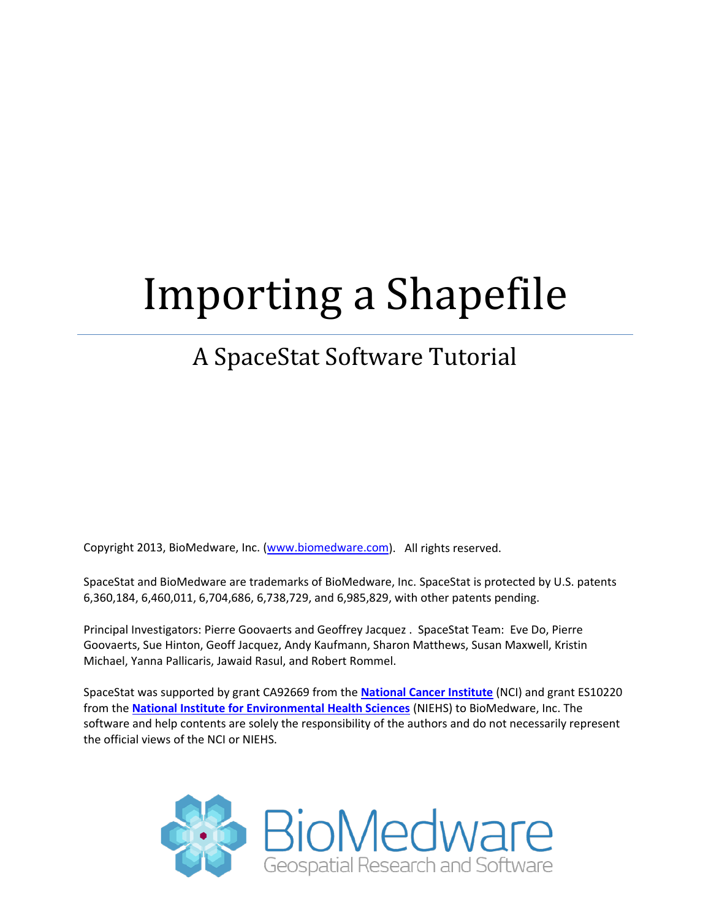# Importing a Shapefile

# A SpaceStat Software Tutorial

Copyright 2013, BioMedware, Inc. [\(www.biomedware.com\)](http://www.biomedware.com/). All rights reserved.

SpaceStat and BioMedware are trademarks of BioMedware, Inc. SpaceStat is protected by U.S. patents 6,360,184, 6,460,011, 6,704,686, 6,738,729, and 6,985,829, with other patents pending.

Principal Investigators: Pierre Goovaerts and Geoffrey Jacquez . SpaceStat Team: Eve Do, Pierre Goovaerts, Sue Hinton, Geoff Jacquez, Andy Kaufmann, Sharon Matthews, Susan Maxwell, Kristin Michael, Yanna Pallicaris, Jawaid Rasul, and Robert Rommel.

SpaceStat was supported by grant CA92669 from the **[National Cancer Institute](http://www.nci.nih.gov/)** (NCI) and grant ES10220 from the **[National Institute for Environmental Health Sciences](http://www.niehs.nih.gov/)** (NIEHS) to BioMedware, Inc. The software and help contents are solely the responsibility of the authors and do not necessarily represent the official views of the NCI or NIEHS.

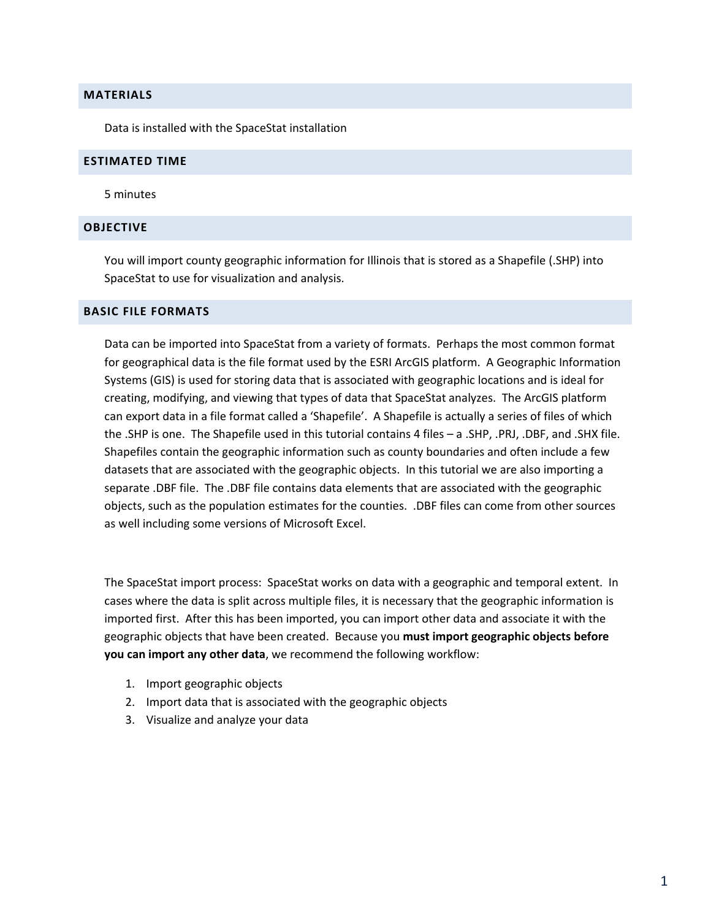### **MATERIALS**

Data is installed with the SpaceStat installation

#### **ESTIMATED TIME**

5 minutes

#### **OBJECTIVE**

You will import county geographic information for Illinois that is stored as a Shapefile (.SHP) into SpaceStat to use for visualization and analysis.

#### **BASIC FILE FORMATS**

Data can be imported into SpaceStat from a variety of formats. Perhaps the most common format for geographical data is the file format used by the ESRI ArcGIS platform. A Geographic Information Systems (GIS) is used for storing data that is associated with geographic locations and is ideal for creating, modifying, and viewing that types of data that SpaceStat analyzes. The ArcGIS platform can export data in a file format called a 'Shapefile'. A Shapefile is actually a series of files of which the .SHP is one. The Shapefile used in this tutorial contains 4 files – a .SHP, .PRJ, .DBF, and .SHX file. Shapefiles contain the geographic information such as county boundaries and often include a few datasets that are associated with the geographic objects. In this tutorial we are also importing a separate .DBF file. The .DBF file contains data elements that are associated with the geographic objects, such as the population estimates for the counties. .DBF files can come from other sources as well including some versions of Microsoft Excel.

The SpaceStat import process: SpaceStat works on data with a geographic and temporal extent. In cases where the data is split across multiple files, it is necessary that the geographic information is imported first. After this has been imported, you can import other data and associate it with the geographic objects that have been created. Because you **must import geographic objects before you can import any other data**, we recommend the following workflow:

- 1. Import geographic objects
- 2. Import data that is associated with the geographic objects
- 3. Visualize and analyze your data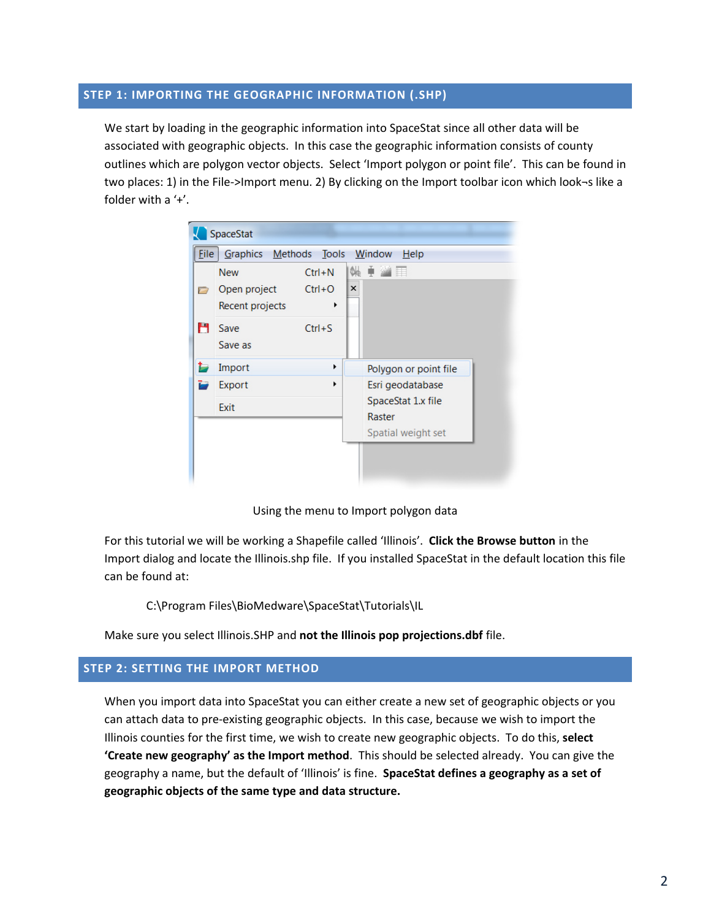# **STEP 1: IMPORTING THE GEOGRAPHIC INFORMATION (.SHP)**

We start by loading in the geographic information into SpaceStat since all other data will be associated with geographic objects. In this case the geographic information consists of county outlines which are polygon vector objects. Select 'Import polygon or point file'. This can be found in two places: 1) in the File->Import menu. 2) By clicking on the Import toolbar icon which look¬s like a folder with a '+'.



Using the menu to Import polygon data

For this tutorial we will be working a Shapefile called 'Illinois'. **Click the Browse button** in the Import dialog and locate the Illinois.shp file. If you installed SpaceStat in the default location this file can be found at:

C:\Program Files\BioMedware\SpaceStat\Tutorials\IL

Make sure you select Illinois.SHP and **not the Illinois pop projections.dbf** file.

# **STEP 2: SETTING THE IMPORT METHOD**

When you import data into SpaceStat you can either create a new set of geographic objects or you can attach data to pre-existing geographic objects. In this case, because we wish to import the Illinois counties for the first time, we wish to create new geographic objects. To do this, **select 'Create new geography' as the Import method**. This should be selected already. You can give the geography a name, but the default of 'Illinois' is fine. **SpaceStat defines a geography as a set of geographic objects of the same type and data structure.**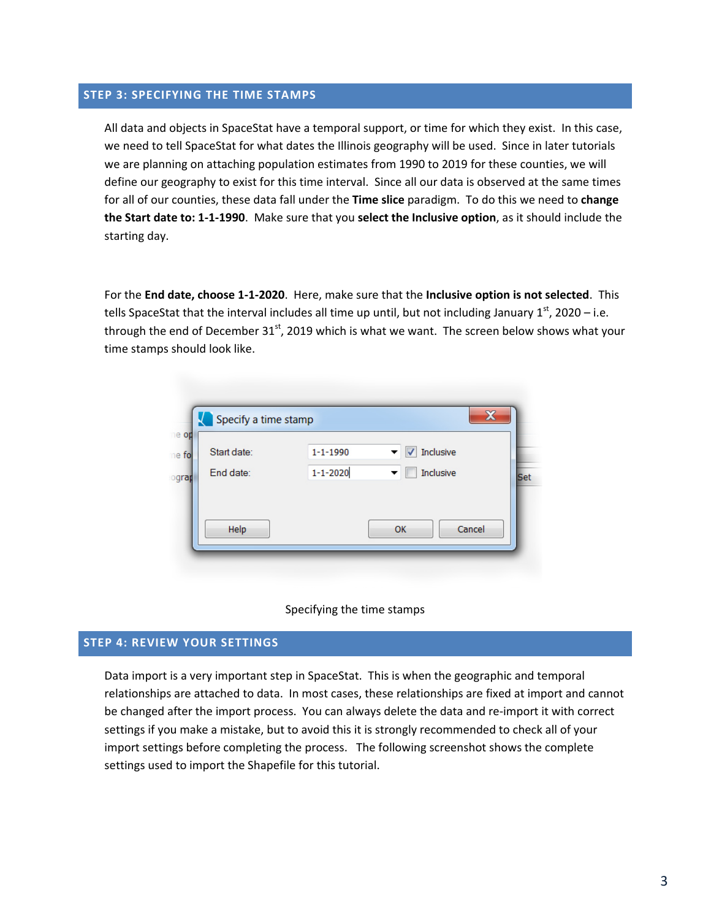# **STEP 3: SPECIFYING THE TIME STAMPS**

All data and objects in SpaceStat have a temporal support, or time for which they exist. In this case, we need to tell SpaceStat for what dates the Illinois geography will be used. Since in later tutorials we are planning on attaching population estimates from 1990 to 2019 for these counties, we will define our geography to exist for this time interval. Since all our data is observed at the same times for all of our counties, these data fall under the **Time slice** paradigm. To do this we need to **change the Start date to: 1-1-1990**. Make sure that you **select the Inclusive option**, as it should include the starting day.

For the **End date, choose 1-1-2020**. Here, make sure that the **Inclusive option is not selected**. This tells SpaceStat that the interval includes all time up until, but not including January  $1<sup>st</sup>$ , 2020 – i.e. through the end of December 31<sup>st</sup>, 2019 which is what we want. The screen below shows what your time stamps should look like.

| Start date: | $1 - 1 - 1990$ | Inclusive |
|-------------|----------------|-----------|
| End date:   | $1 - 1 - 2020$ | Inclusive |
|             |                |           |
|             |                |           |



#### **STEP 4: REVIEW YOUR SETTINGS**

Data import is a very important step in SpaceStat. This is when the geographic and temporal relationships are attached to data. In most cases, these relationships are fixed at import and cannot be changed after the import process. You can always delete the data and re-import it with correct settings if you make a mistake, but to avoid this it is strongly recommended to check all of your import settings before completing the process. The following screenshot shows the complete settings used to import the Shapefile for this tutorial.